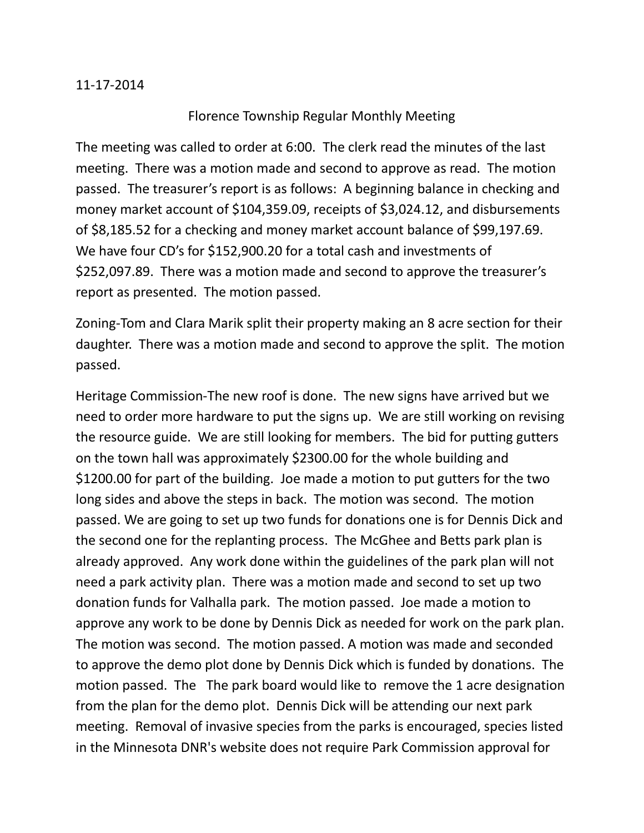## 11-17-2014

## Florence Township Regular Monthly Meeting

The meeting was called to order at 6:00. The clerk read the minutes of the last meeting. There was a motion made and second to approve as read. The motion passed. The treasurer's report is as follows: A beginning balance in checking and money market account of \$104,359.09, receipts of \$3,024.12, and disbursements of \$8,185.52 for a checking and money market account balance of \$99,197.69. We have four CD's for \$152,900.20 for a total cash and investments of \$252,097.89. There was a motion made and second to approve the treasurer's report as presented. The motion passed.

Zoning-Tom and Clara Marik split their property making an 8 acre section for their daughter. There was a motion made and second to approve the split. The motion passed.

Heritage Commission-The new roof is done. The new signs have arrived but we need to order more hardware to put the signs up. We are still working on revising the resource guide. We are still looking for members. The bid for putting gutters on the town hall was approximately \$2300.00 for the whole building and \$1200.00 for part of the building. Joe made a motion to put gutters for the two long sides and above the steps in back. The motion was second. The motion passed. We are going to set up two funds for donations one is for Dennis Dick and the second one for the replanting process. The McGhee and Betts park plan is already approved. Any work done within the guidelines of the park plan will not need a park activity plan. There was a motion made and second to set up two donation funds for Valhalla park. The motion passed. Joe made a motion to approve any work to be done by Dennis Dick as needed for work on the park plan. The motion was second. The motion passed. A motion was made and seconded to approve the demo plot done by Dennis Dick which is funded by donations. The motion passed. The The park board would like to remove the 1 acre designation from the plan for the demo plot. Dennis Dick will be attending our next park meeting. Removal of invasive species from the parks is encouraged, species listed in the Minnesota DNR's website does not require Park Commission approval for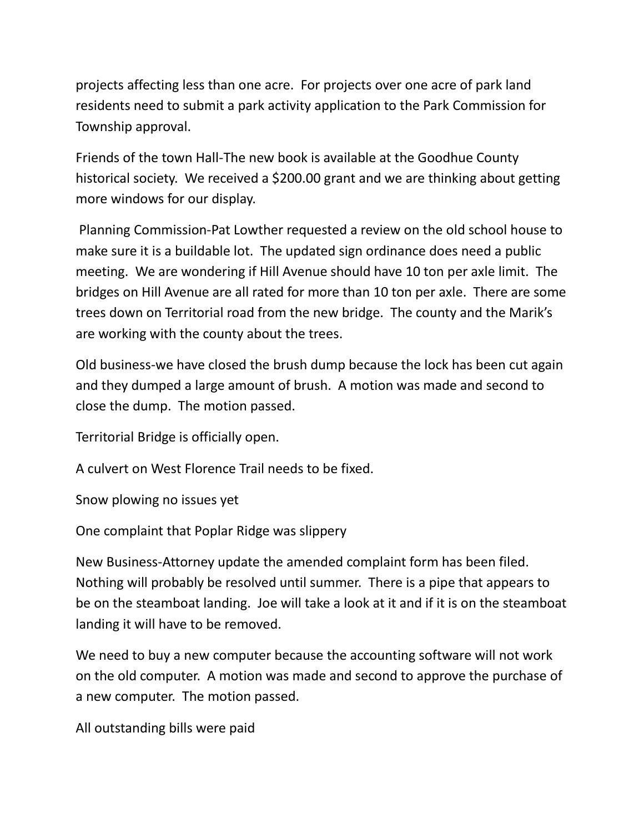projects affecting less than one acre. For projects over one acre of park land residents need to submit a park activity application to the Park Commission for Township approval.

Friends of the town Hall-The new book is available at the Goodhue County historical society. We received a \$200.00 grant and we are thinking about getting more windows for our display.

Planning Commission-Pat Lowther requested a review on the old school house to make sure it is a buildable lot. The updated sign ordinance does need a public meeting. We are wondering if Hill Avenue should have 10 ton per axle limit. The bridges on Hill Avenue are all rated for more than 10 ton per axle. There are some trees down on Territorial road from the new bridge. The county and the Marik's are working with the county about the trees.

Old business-we have closed the brush dump because the lock has been cut again and they dumped a large amount of brush. A motion was made and second to close the dump. The motion passed.

Territorial Bridge is officially open.

A culvert on West Florence Trail needs to be fixed.

Snow plowing no issues yet

One complaint that Poplar Ridge was slippery

New Business-Attorney update the amended complaint form has been filed. Nothing will probably be resolved until summer. There is a pipe that appears to be on the steamboat landing. Joe will take a look at it and if it is on the steamboat landing it will have to be removed.

We need to buy a new computer because the accounting software will not work on the old computer. A motion was made and second to approve the purchase of a new computer. The motion passed.

All outstanding bills were paid